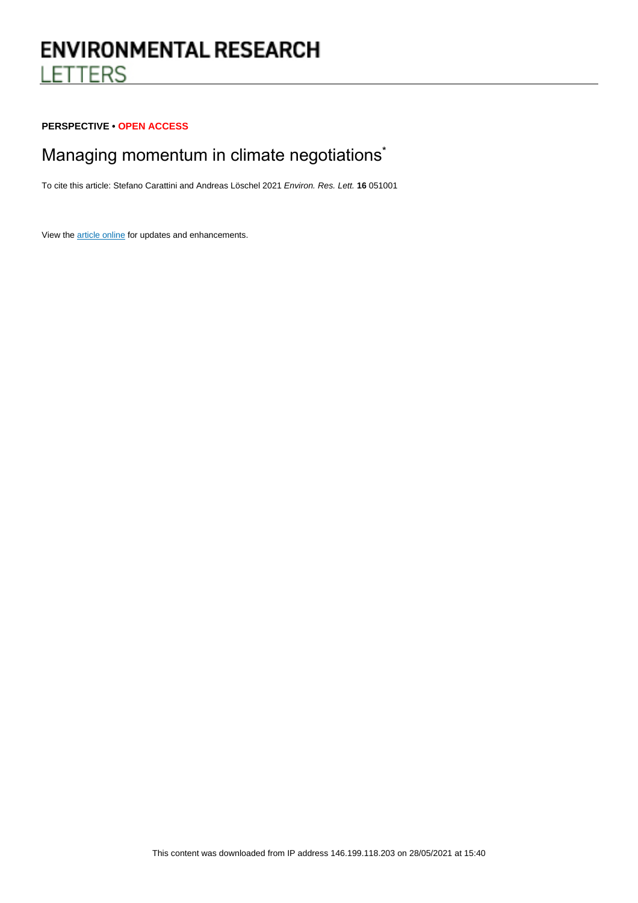# **ENVIRONMENTAL RESEARCH LETTERS**

#### **PERSPECTIVE • OPEN ACCESS**

# Managing momentum in climate negotiations<sup>\*</sup>

To cite this article: Stefano Carattini and Andreas Löschel 2021 Environ. Res. Lett. **16** 051001

View the [article online](https://doi.org/10.1088/1748-9326/abf58d) for updates and enhancements.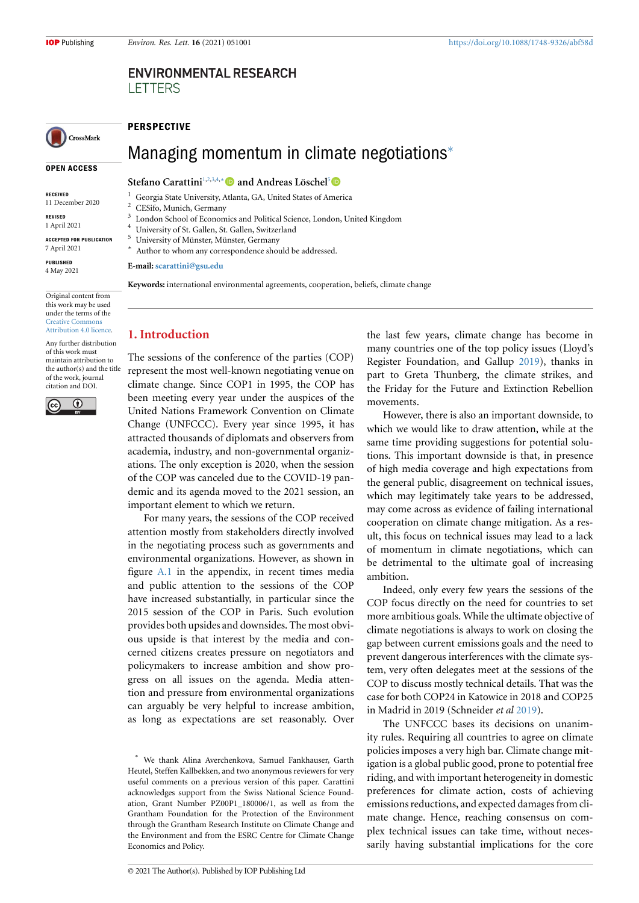#### **ENVIRONMENTAL RESEARCH LETTERS**

## CrossMark

#### **OPEN ACCESS**

**RECEIVED**

11 December 2020

**REVISED** 1 April 2021

**ACCEPTED FOR PUBLICATION**

7 April 2021

**PUBLISHED** 4 May 2021

Original content from this work may be used under the terms of the [Creative Commons](https://creativecommons.org/licenses/by/4.0/) [Attribution 4.0 licence](https://creativecommons.org/licenses/by/4.0/).

Any further distribution of this work must maintain attribution to the author(s) and the title of the work, journal citation and DOI.



**PERSPECTIVE**

### Managing momentum in climate negotiations*[∗](#page-1-0)*

#### **Stefano Carattini**[1](#page-1-1),[2,](#page-1-2)[3,](#page-1-3)[4,](#page-1-4)*[∗](#page-1-5)* **and Andreas Löschel**[5](#page-1-6)

- <span id="page-1-1"></span><sup>1</sup> Georgia State University, Atlanta, GA, United States of America
- CESifo, Munich, Germany
- <span id="page-1-2"></span>3 London School of Economics and Political Science, London, United Kingdom
- <span id="page-1-3"></span>University of St. Gallen, St. Gallen, Switzerland
- <span id="page-1-4"></span><sup>5</sup> University of Münster, Münster, Germany
- <span id="page-1-6"></span><span id="page-1-5"></span>Author to whom any correspondence should be addressed.

**E-mail: [scarattini@gsu.edu](mailto:scarattini@gsu.edu)**

*∗*

**Keywords:** international environmental agreements, cooperation, beliefs, climate change

#### **1. Introduction**

The sessions of the conference of the parties (COP) represent the most well-known negotiating venue on climate change. Since COP1 in 1995, the COP has been meeting every year under the auspices of the United Nations Framework Convention on Climate Change (UNFCCC). Every year since 1995, it has attracted thousands of diplomats and observers from academia, industry, and non-governmental organizations. The only exception is 2020, when the session of the COP was canceled due to the COVID-19 pandemic and its agenda moved to the 2021 session, an important element to which we return.

For many years, the sessions of the COP received attention mostly from stakeholders directly involved in the negotiating process such as governments and environmental organizations. However, as shown in figure [A.1](#page-6-0) in the appendix, in recent times media and public attention to the sessions of the COP have increased substantially, in particular since the 2015 session of the COP in Paris. Such evolution provides both upsides and downsides. The most obvious upside is that interest by the media and concerned citizens creates pressure on negotiators and policymakers to increase ambition and show progress on all issues on the agenda. Media attention and pressure from environmental organizations can arguably be very helpful to increase ambition, as long as expectations are set reasonably. Over the last few years, climate change has become in many countries one of the top policy issues (Lloyd's Register Foundation, and Gallup [2019\)](#page-6-1), thanks in part to Greta Thunberg, the climate strikes, and the Friday for the Future and Extinction Rebellion movements.

However, there is also an important downside, to which we would like to draw attention, while at the same time providing suggestions for potential solutions. This important downside is that, in presence of high media coverage and high expectations from the general public, disagreement on technical issues, which may legitimately take years to be addressed, may come across as evidence of failing international cooperation on climate change mitigation. As a result, this focus on technical issues may lead to a lack of momentum in climate negotiations, which can be detrimental to the ultimate goal of increasing ambition.

Indeed, only every few years the sessions of the COP focus directly on the need for countries to set more ambitious goals. While the ultimate objective of climate negotiations is always to work on closing the gap between current emissions goals and the need to prevent dangerous interferences with the climate system, very often delegates meet at the sessions of the COP to discuss mostly technical details. That was the case for both COP24 in Katowice in 2018 and COP25 in Madrid in 2019 (Schneider *et al* [2019](#page-6-2)).

The UNFCCC bases its decisions on unanimity rules. Requiring all countries to agree on climate policies imposes a very high bar. Climate change mitigation is a global public good, prone to potential free riding, and with important heterogeneity in domestic preferences for climate action, costs of achieving emissions reductions, and expected damages from climate change. Hence, reaching consensus on complex technical issues can take time, without necessarily having substantial implications for the core

<span id="page-1-0"></span>*<sup>∗</sup>* We thank Alina Averchenkova, Samuel Fankhauser, Garth Heutel, Steffen Kallbekken, and two anonymous reviewers for very useful comments on a previous version of this paper. Carattini acknowledges support from the Swiss National Science Foundation, Grant Number PZ00P1\_180006/1, as well as from the Grantham Foundation for the Protection of the Environment through the Grantham Research Institute on Climate Change and the Environment and from the ESRC Centre for Climate Change Economics and Policy.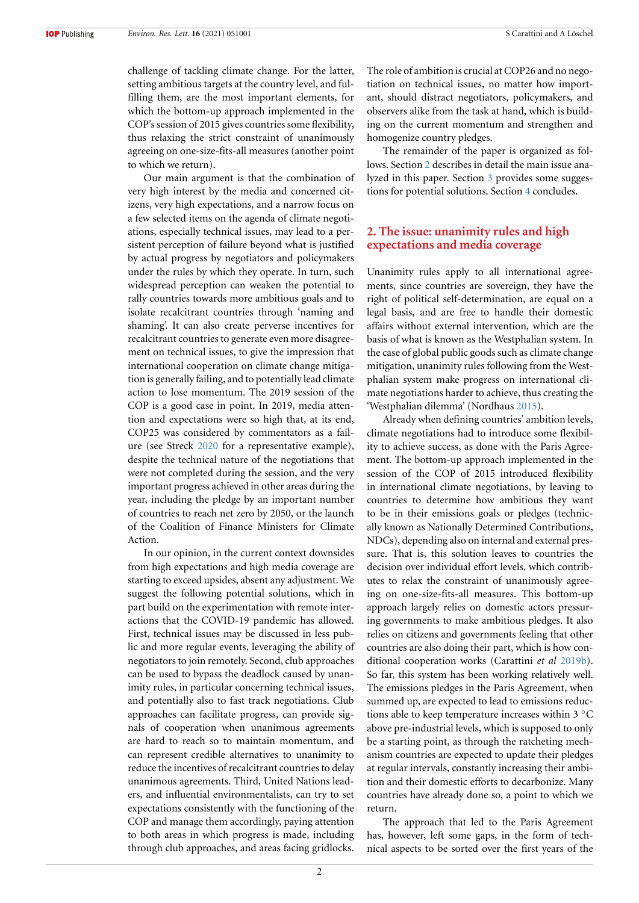**IOP** Publishing

challenge of tackling climate change. For the latter, setting ambitious targets at the country level, and fulfilling them, are the most important elements, for which the bottom-up approach implemented in the COP's session of 2015 gives countries some flexibility, thus relaxing the strict constraint of unanimously agreeing on one-size-fits-all measures (another point to which we return).

Our main argument is that the combination of very high interest by the media and concerned citizens, very high expectations, and a narrow focus on a few selected items on the agenda of climate negotiations, especially technical issues, may lead to a persistent perception of failure beyond what is justified by actual progress by negotiators and policymakers under the rules by which they operate. In turn, such widespread perception can weaken the potential to rally countries towards more ambitious goals and to isolate recalcitrant countries through 'naming and shaming'. It can also create perverse incentives for recalcitrant countries to generate even more disagreement on technical issues, to give the impression that international cooperation on climate change mitigation is generally failing, and to potentially lead climate action to lose momentum. The 2019 session of the COP is a good case in point. In 2019, media attention and expectations were so high that, at its end, COP25 was considered by commentators as a failure (see Streck [2020](#page-6-3) for a representative example), despite the technical nature of the negotiations that were not completed during the session, and the very important progress achieved in other areas during the year, including the pledge by an important number of countries to reach net zero by 2050, or the launch of the Coalition of Finance Ministers for Climate Action.

In our opinion, in the current context downsides from high expectations and high media coverage are starting to exceed upsides, absent any adjustment. We suggest the following potential solutions, which in part build on the experimentation with remote interactions that the COVID-19 pandemic has allowed. First, technical issues may be discussed in less public and more regular events, leveraging the ability of negotiators to join remotely. Second, club approaches can be used to bypass the deadlock caused by unanimity rules, in particular concerning technical issues, and potentially also to fast track negotiations. Club approaches can facilitate progress, can provide signals of cooperation when unanimous agreements are hard to reach so to maintain momentum, and can represent credible alternatives to unanimity to reduce the incentives of recalcitrant countries to delay unanimous agreements. Third, United Nations leaders, and influential environmentalists, can try to set expectations consistently with the functioning of the COP and manage them accordingly, paying attention to both areas in which progress is made, including through club approaches, and areas facing gridlocks.

The role of ambition is crucial at COP26 and no negotiation on technical issues, no matter how important, should distract negotiators, policymakers, and observers alike from the task at hand, which is building on the current momentum and strengthen and homogenize country pledges.

The remainder of the paper is organized as follows. Section [2](#page-2-0) describes in detail the main issue analyzed in this paper. Section [3](#page-3-0) provides some suggestions for potential solutions. Section [4](#page-5-0) concludes.

#### <span id="page-2-0"></span>**2. The issue: unanimity rules and high expectations and media coverage**

Unanimity rules apply to all international agreements, since countries are sovereign, they have the right of political self-determination, are equal on a legal basis, and are free to handle their domestic affairs without external intervention, which are the basis of what is known as the Westphalian system. In the case of global public goods such as climate change mitigation, unanimity rules following from the Westphalian system make progress on international climate negotiations harder to achieve, thus creating the 'Westphalian dilemma' (Nordhaus [2015](#page-6-4)).

Already when defining countries' ambition levels, climate negotiations had to introduce some flexibility to achieve success, as done with the Paris Agreement. The bottom-up approach implemented in the session of the COP of 2015 introduced flexibility in international climate negotiations, by leaving to countries to determine how ambitious they want to be in their emissions goals or pledges (technically known as Nationally Determined Contributions, NDCs), depending also on internal and external pressure. That is, this solution leaves to countries the decision over individual effort levels, which contributes to relax the constraint of unanimously agreeing on one-size-fits-all measures. This bottom-up approach largely relies on domestic actors pressuring governments to make ambitious pledges. It also relies on citizens and governments feeling that other countries are also doing their part, which is how conditional cooperation works (Carattini *et al* [2019b\)](#page-6-5). So far, this system has been working relatively well. The emissions pledges in the Paris Agreement, when summed up, are expected to lead to emissions reductions able to keep temperature increases within 3 *◦*C above pre-industrial levels, which is supposed to only be a starting point, as through the ratcheting mechanism countries are expected to update their pledges at regular intervals, constantly increasing their ambition and their domestic efforts to decarbonize. Many countries have already done so, a point to which we return.

The approach that led to the Paris Agreement has, however, left some gaps, in the form of technical aspects to be sorted over the first years of the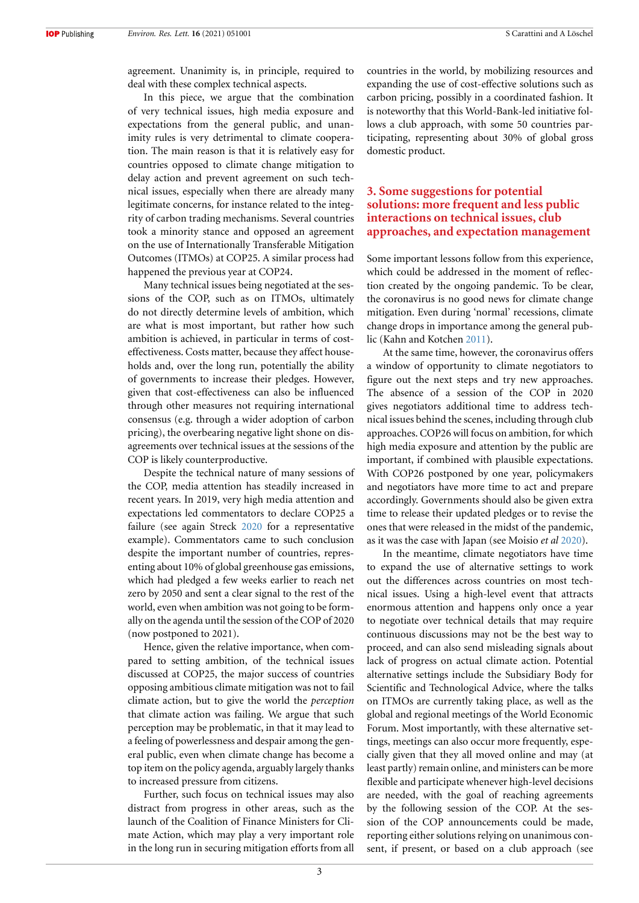agreement. Unanimity is, in principle, required to deal with these complex technical aspects.

In this piece, we argue that the combination of very technical issues, high media exposure and expectations from the general public, and unanimity rules is very detrimental to climate cooperation. The main reason is that it is relatively easy for countries opposed to climate change mitigation to delay action and prevent agreement on such technical issues, especially when there are already many legitimate concerns, for instance related to the integrity of carbon trading mechanisms. Several countries took a minority stance and opposed an agreement on the use of Internationally Transferable Mitigation Outcomes (ITMOs) at COP25. A similar process had happened the previous year at COP24.

Many technical issues being negotiated at the sessions of the COP, such as on ITMOs, ultimately do not directly determine levels of ambition, which are what is most important, but rather how such ambition is achieved, in particular in terms of costeffectiveness. Costs matter, because they affect households and, over the long run, potentially the ability of governments to increase their pledges. However, given that cost-effectiveness can also be influenced through other measures not requiring international consensus (e.g. through a wider adoption of carbon pricing), the overbearing negative light shone on disagreements over technical issues at the sessions of the COP is likely counterproductive.

Despite the technical nature of many sessions of the COP, media attention has steadily increased in recent years. In 2019, very high media attention and expectations led commentators to declare COP25 a failure (see again Streck [2020](#page-6-3) for a representative example). Commentators came to such conclusion despite the important number of countries, representing about 10% of global greenhouse gas emissions, which had pledged a few weeks earlier to reach net zero by 2050 and sent a clear signal to the rest of the world, even when ambition was not going to be formally on the agenda until the session of the COP of 2020 (now postponed to 2021).

Hence, given the relative importance, when compared to setting ambition, of the technical issues discussed at COP25, the major success of countries opposing ambitious climate mitigation was not to fail climate action, but to give the world the *perception* that climate action was failing. We argue that such perception may be problematic, in that it may lead to a feeling of powerlessness and despair among the general public, even when climate change has become a top item on the policy agenda, arguably largely thanks to increased pressure from citizens.

Further, such focus on technical issues may also distract from progress in other areas, such as the launch of the Coalition of Finance Ministers for Climate Action, which may play a very important role in the long run in securing mitigation efforts from all countries in the world, by mobilizing resources and expanding the use of cost-effective solutions such as carbon pricing, possibly in a coordinated fashion. It is noteworthy that this World-Bank-led initiative follows a club approach, with some 50 countries participating, representing about 30% of global gross domestic product.

#### <span id="page-3-0"></span>**3. Some suggestions for potential solutions: more frequent and less public interactions on technical issues, club approaches, and expectation management**

Some important lessons follow from this experience, which could be addressed in the moment of reflection created by the ongoing pandemic. To be clear, the coronavirus is no good news for climate change mitigation. Even during 'normal' recessions, climate change drops in importance among the general public (Kahn and Kotchen [2011](#page-6-6)).

At the same time, however, the coronavirus offers a window of opportunity to climate negotiators to figure out the next steps and try new approaches. The absence of a session of the COP in 2020 gives negotiators additional time to address technical issues behind the scenes, including through club approaches. COP26 will focus on ambition, for which high media exposure and attention by the public are important, if combined with plausible expectations. With COP26 postponed by one year, policymakers and negotiators have more time to act and prepare accordingly. Governments should also be given extra time to release their updated pledges or to revise the ones that were released in the midst of the pandemic, as it was the case with Japan (see Moisio *et al* [2020\)](#page-6-7).

In the meantime, climate negotiators have time to expand the use of alternative settings to work out the differences across countries on most technical issues. Using a high-level event that attracts enormous attention and happens only once a year to negotiate over technical details that may require continuous discussions may not be the best way to proceed, and can also send misleading signals about lack of progress on actual climate action. Potential alternative settings include the Subsidiary Body for Scientific and Technological Advice, where the talks on ITMOs are currently taking place, as well as the global and regional meetings of the World Economic Forum. Most importantly, with these alternative settings, meetings can also occur more frequently, especially given that they all moved online and may (at least partly) remain online, and ministers can be more flexible and participate whenever high-level decisions are needed, with the goal of reaching agreements by the following session of the COP. At the session of the COP announcements could be made, reporting either solutions relying on unanimous consent, if present, or based on a club approach (see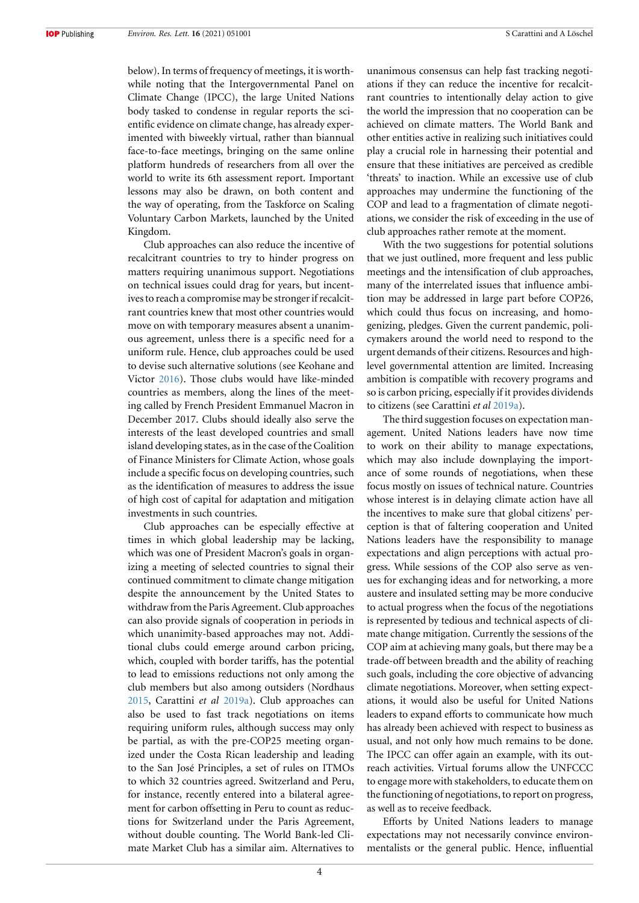below). In terms of frequency of meetings, it is worthwhile noting that the Intergovernmental Panel on Climate Change (IPCC), the large United Nations body tasked to condense in regular reports the scientific evidence on climate change, has already experimented with biweekly virtual, rather than biannual face-to-face meetings, bringing on the same online platform hundreds of researchers from all over the world to write its 6th assessment report. Important lessons may also be drawn, on both content and the way of operating, from the Taskforce on Scaling Voluntary Carbon Markets, launched by the United Kingdom.

Club approaches can also reduce the incentive of recalcitrant countries to try to hinder progress on matters requiring unanimous support. Negotiations on technical issues could drag for years, but incentives to reach a compromise may be stronger if recalcitrant countries knew that most other countries would move on with temporary measures absent a unanimous agreement, unless there is a specific need for a uniform rule. Hence, club approaches could be used to devise such alternative solutions (see Keohane and Victor [2016](#page-6-8)). Those clubs would have like-minded countries as members, along the lines of the meeting called by French President Emmanuel Macron in December 2017. Clubs should ideally also serve the interests of the least developed countries and small island developing states, as in the case of the Coalition of Finance Ministers for Climate Action, whose goals include a specific focus on developing countries, such as the identification of measures to address the issue of high cost of capital for adaptation and mitigation investments in such countries.

Club approaches can be especially effective at times in which global leadership may be lacking, which was one of President Macron's goals in organizing a meeting of selected countries to signal their continued commitment to climate change mitigation despite the announcement by the United States to withdraw from the Paris Agreement. Club approaches can also provide signals of cooperation in periods in which unanimity-based approaches may not. Additional clubs could emerge around carbon pricing, which, coupled with border tariffs, has the potential to lead to emissions reductions not only among the club members but also among outsiders (Nordhaus [2015](#page-6-4), Carattini *et al* [2019a\)](#page-6-9). Club approaches can also be used to fast track negotiations on items requiring uniform rules, although success may only be partial, as with the pre-COP25 meeting organized under the Costa Rican leadership and leading to the San José Principles, a set of rules on ITMOs to which 32 countries agreed. Switzerland and Peru, for instance, recently entered into a bilateral agreement for carbon offsetting in Peru to count as reductions for Switzerland under the Paris Agreement, without double counting. The World Bank-led Climate Market Club has a similar aim. Alternatives to

unanimous consensus can help fast tracking negotiations if they can reduce the incentive for recalcitrant countries to intentionally delay action to give the world the impression that no cooperation can be achieved on climate matters. The World Bank and other entities active in realizing such initiatives could play a crucial role in harnessing their potential and ensure that these initiatives are perceived as credible 'threats' to inaction. While an excessive use of club approaches may undermine the functioning of the COP and lead to a fragmentation of climate negotiations, we consider the risk of exceeding in the use of club approaches rather remote at the moment.

With the two suggestions for potential solutions that we just outlined, more frequent and less public meetings and the intensification of club approaches, many of the interrelated issues that influence ambition may be addressed in large part before COP26, which could thus focus on increasing, and homogenizing, pledges. Given the current pandemic, policymakers around the world need to respond to the urgent demands of their citizens. Resources and highlevel governmental attention are limited. Increasing ambition is compatible with recovery programs and so is carbon pricing, especially if it provides dividends to citizens (see Carattini *et al* [2019a](#page-6-9)).

The third suggestion focuses on expectation management. United Nations leaders have now time to work on their ability to manage expectations, which may also include downplaying the importance of some rounds of negotiations, when these focus mostly on issues of technical nature. Countries whose interest is in delaying climate action have all the incentives to make sure that global citizens' perception is that of faltering cooperation and United Nations leaders have the responsibility to manage expectations and align perceptions with actual progress. While sessions of the COP also serve as venues for exchanging ideas and for networking, a more austere and insulated setting may be more conducive to actual progress when the focus of the negotiations is represented by tedious and technical aspects of climate change mitigation. Currently the sessions of the COP aim at achieving many goals, but there may be a trade-off between breadth and the ability of reaching such goals, including the core objective of advancing climate negotiations. Moreover, when setting expectations, it would also be useful for United Nations leaders to expand efforts to communicate how much has already been achieved with respect to business as usual, and not only how much remains to be done. The IPCC can offer again an example, with its outreach activities. Virtual forums allow the UNFCCC to engage more with stakeholders, to educate them on the functioning of negotiations, to report on progress, as well as to receive feedback.

Efforts by United Nations leaders to manage expectations may not necessarily convince environmentalists or the general public. Hence, influential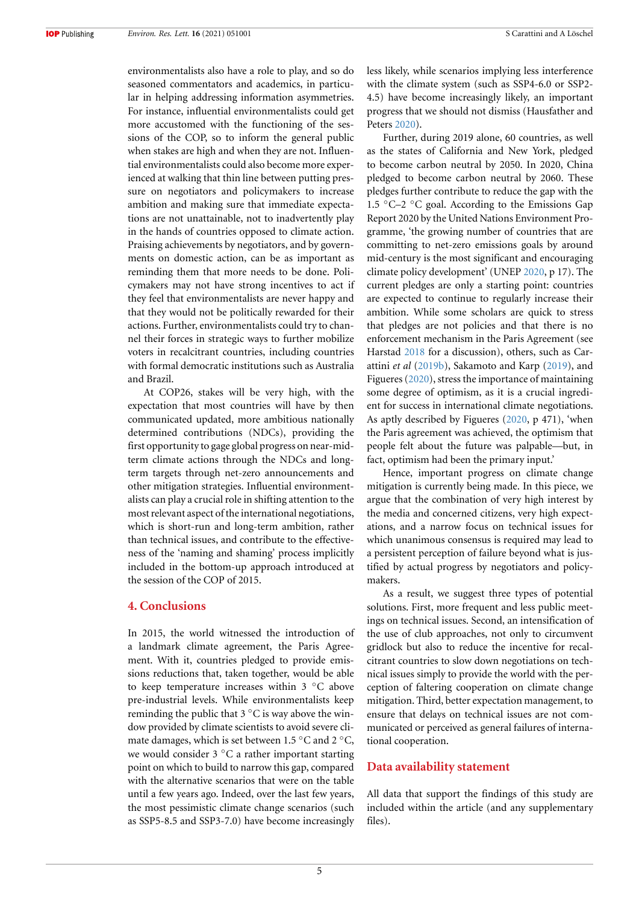environmentalists also have a role to play, and so do seasoned commentators and academics, in particular in helping addressing information asymmetries. For instance, influential environmentalists could get more accustomed with the functioning of the sessions of the COP, so to inform the general public when stakes are high and when they are not. Influential environmentalists could also become more experienced at walking that thin line between putting pressure on negotiators and policymakers to increase ambition and making sure that immediate expectations are not unattainable, not to inadvertently play in the hands of countries opposed to climate action. Praising achievements by negotiators, and by governments on domestic action, can be as important as reminding them that more needs to be done. Policymakers may not have strong incentives to act if they feel that environmentalists are never happy and that they would not be politically rewarded for their actions. Further, environmentalists could try to channel their forces in strategic ways to further mobilize voters in recalcitrant countries, including countries with formal democratic institutions such as Australia and Brazil.

At COP26, stakes will be very high, with the expectation that most countries will have by then communicated updated, more ambitious nationally determined contributions (NDCs), providing the first opportunity to gage global progress on near-midterm climate actions through the NDCs and longterm targets through net-zero announcements and other mitigation strategies. Influential environmentalists can play a crucial role in shifting attention to the most relevant aspect of the international negotiations, which is short-run and long-term ambition, rather than technical issues, and contribute to the effectiveness of the 'naming and shaming' process implicitly included in the bottom-up approach introduced at the session of the COP of 2015.

#### <span id="page-5-0"></span>**4. Conclusions**

In 2015, the world witnessed the introduction of a landmark climate agreement, the Paris Agreement. With it, countries pledged to provide emissions reductions that, taken together, would be able to keep temperature increases within 3 *◦*C above pre-industrial levels. While environmentalists keep reminding the public that 3 *◦*C is way above the window provided by climate scientists to avoid severe climate damages, which is set between 1.5 *◦*C and 2 *◦*C, we would consider 3 *◦*C a rather important starting point on which to build to narrow this gap, compared with the alternative scenarios that were on the table until a few years ago. Indeed, over the last few years, the most pessimistic climate change scenarios (such as SSP5-8.5 and SSP3-7.0) have become increasingly less likely, while scenarios implying less interference with the climate system (such as SSP4-6.0 or SSP2- 4.5) have become increasingly likely, an important progress that we should not dismiss (Hausfather and Peters [2020](#page-6-10)).

Further, during 2019 alone, 60 countries, as well as the states of California and New York, pledged to become carbon neutral by 2050. In 2020, China pledged to become carbon neutral by 2060. These pledges further contribute to reduce the gap with the 1.5 *◦*C–2 *◦*C goal. According to the Emissions Gap Report 2020 by the United Nations Environment Programme, 'the growing number of countries that are committing to net-zero emissions goals by around mid-century is the most significant and encouraging climate policy development' (UNEP [2020](#page-6-11), p 17). The current pledges are only a starting point: countries are expected to continue to regularly increase their ambition. While some scholars are quick to stress that pledges are not policies and that there is no enforcement mechanism in the Paris Agreement (see Harstad [2018](#page-6-12) for a discussion), others, such as Carattini *et al* [\(2019b\)](#page-6-5), Sakamoto and Karp([2019\)](#page-6-13), and Figueres([2020\)](#page-6-14), stress the importance of maintaining some degree of optimism, as it is a crucial ingredient for success in international climate negotiations. As aptly described by Figueres([2020,](#page-6-14) p 471), 'when the Paris agreement was achieved, the optimism that people felt about the future was palpable—but, in fact, optimism had been the primary input.'

Hence, important progress on climate change mitigation is currently being made. In this piece, we argue that the combination of very high interest by the media and concerned citizens, very high expectations, and a narrow focus on technical issues for which unanimous consensus is required may lead to a persistent perception of failure beyond what is justified by actual progress by negotiators and policymakers.

As a result, we suggest three types of potential solutions. First, more frequent and less public meetings on technical issues. Second, an intensification of the use of club approaches, not only to circumvent gridlock but also to reduce the incentive for recalcitrant countries to slow down negotiations on technical issues simply to provide the world with the perception of faltering cooperation on climate change mitigation. Third, better expectation management, to ensure that delays on technical issues are not communicated or perceived as general failures of international cooperation.

#### **Data availability statement**

All data that support the findings of this study are included within the article (and any supplementary files).